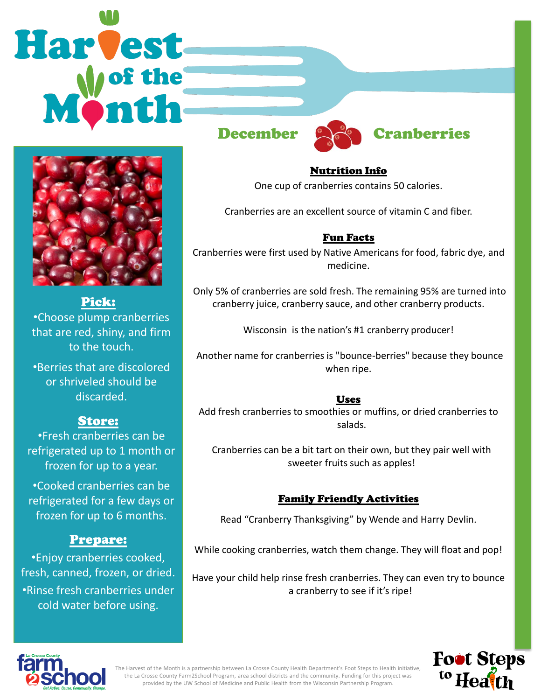# **Harvest**



#### Pick:

•Choose plump cranberries that are red, shiny, and firm to the touch.

•Berries that are discolored or shriveled should be discarded.

# Store:

•Fresh cranberries can be refrigerated up to 1 month or frozen for up to a year.

•Cooked cranberries can be refrigerated for a few days or frozen for up to 6 months.

# Prepare:

•Enjoy cranberries cooked, fresh, canned, frozen, or dried. •Rinse fresh cranberries under cold water before using.





Nutrition Info One cup of cranberries contains 50 calories.

Cranberries are an excellent source of vitamin C and fiber.

## Fun Facts

Cranberries were first used by Native Americans for food, fabric dye, and medicine.

Only 5% of cranberries are sold fresh. The remaining 95% are turned into cranberry juice, cranberry sauce, and other cranberry products.

Wisconsin is the nation's #1 cranberry producer!

Another name for cranberries is "bounce-berries" because they bounce when ripe.

#### Uses

Add fresh cranberries to smoothies or muffins, or dried cranberries to salads.

Cranberries can be a bit tart on their own, but they pair well with sweeter fruits such as apples!

#### Family Friendly Activities

Read "Cranberry Thanksgiving" by Wende and Harry Devlin.

While cooking cranberries, watch them change. They will float and pop!

Have your child help rinse fresh cranberries. They can even try to bounce a cranberry to see if it's ripe!